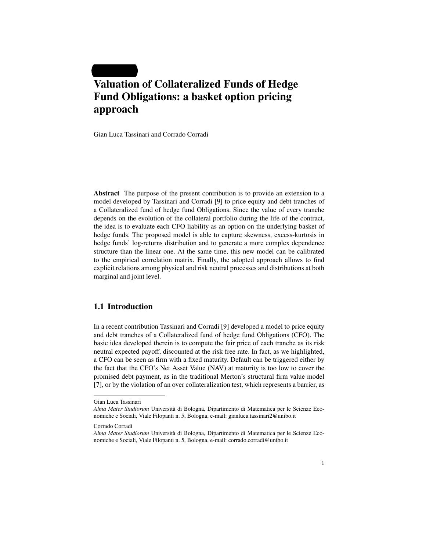# Valuation of Collateralized Funds of Hedge Fund Obligations: a basket option pricing approach

Gian Luca Tassinari and Corrado Corradi

Abstract The purpose of the present contribution is to provide an extension to a model developed by Tassinari and Corradi [9] to price equity and debt tranches of a Collateralized fund of hedge fund Obligations. Since the value of every tranche depends on the evolution of the collateral portfolio during the life of the contract, the idea is to evaluate each CFO liability as an option on the underlying basket of hedge funds. The proposed model is able to capture skewness, excess-kurtosis in hedge funds' log-returns distribution and to generate a more complex dependence structure than the linear one. At the same time, this new model can be calibrated to the empirical correlation matrix. Finally, the adopted approach allows to find explicit relations among physical and risk neutral processes and distributions at both marginal and joint level.

#### 1.1 Introduction

In a recent contribution Tassinari and Corradi [9] developed a model to price equity and debt tranches of a Collateralized fund of hedge fund Obligations (CFO). The basic idea developed therein is to compute the fair price of each tranche as its risk neutral expected payoff, discounted at the risk free rate. In fact, as we highlighted, a CFO can be seen as firm with a fixed maturity. Default can be triggered either by the fact that the CFO's Net Asset Value (NAV) at maturity is too low to cover the promised debt payment, as in the traditional Merton's structural firm value model [7], or by the violation of an over collateralization test, which represents a barrier, as

Gian Luca Tassinari

*Alma Mater Studiorum* Universita di Bologna, Dipartimento di Matematica per le Scienze Eco- ` nomiche e Sociali, Viale Filopanti n. 5, Bologna, e-mail: gianluca.tassinari2@unibo.it

Corrado Corradi

*Alma Mater Studiorum* Universita di Bologna, Dipartimento di Matematica per le Scienze Eco- ` nomiche e Sociali, Viale Filopanti n. 5, Bologna, e-mail: corrado.corradi@unibo.it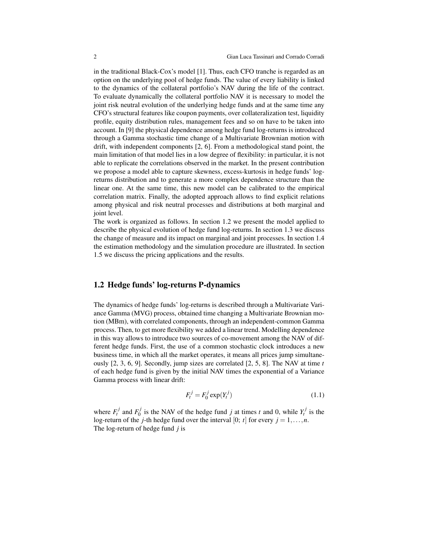in the traditional Black-Cox's model [1]. Thus, each CFO tranche is regarded as an option on the underlying pool of hedge funds. The value of every liability is linked to the dynamics of the collateral portfolio's NAV during the life of the contract. To evaluate dynamically the collateral portfolio NAV it is necessary to model the joint risk neutral evolution of the underlying hedge funds and at the same time any CFO's structural features like coupon payments, over collateralization test, liquidity profile, equity distribution rules, management fees and so on have to be taken into account. In [9] the physical dependence among hedge fund log-returns is introduced through a Gamma stochastic time change of a Multivariate Brownian motion with drift, with independent components [2, 6]. From a methodological stand point, the main limitation of that model lies in a low degree of flexibility: in particular, it is not able to replicate the correlations observed in the market. In the present contribution we propose a model able to capture skewness, excess-kurtosis in hedge funds' logreturns distribution and to generate a more complex dependence structure than the linear one. At the same time, this new model can be calibrated to the empirical correlation matrix. Finally, the adopted approach allows to find explicit relations among physical and risk neutral processes and distributions at both marginal and joint level.

The work is organized as follows. In section 1.2 we present the model applied to describe the physical evolution of hedge fund log-returns. In section 1.3 we discuss the change of measure and its impact on marginal and joint processes. In section 1.4 the estimation methodology and the simulation procedure are illustrated. In section 1.5 we discuss the pricing applications and the results.

#### 1.2 Hedge funds' log-returns P-dynamics

The dynamics of hedge funds' log-returns is described through a Multivariate Variance Gamma (MVG) process, obtained time changing a Multivariate Brownian motion (MBm), with correlated components, through an independent-common Gamma process. Then, to get more flexibility we added a linear trend. Modelling dependence in this way allows to introduce two sources of co-movement among the NAV of different hedge funds. First, the use of a common stochastic clock introduces a new business time, in which all the market operates, it means all prices jump simultaneously [2, 3, 6, 9]. Secondly, jump sizes are correlated [2, 5, 8]. The NAV at time *t* of each hedge fund is given by the initial NAV times the exponential of a Variance Gamma process with linear drift:

$$
F_t^j = F_0^j \exp(Y_t^j) \tag{1.1}
$$

where  $F_t^j$  and  $F_0^j$  $\sum_{i=0}^{j}$  is the NAV of the hedge fund *j* at times *t* and 0, while  $Y_t^j$  is the log-return of the *j*-th hedge fund over the interval [0; *t*] for every  $j = 1, ..., n$ . The log-return of hedge fund *j* is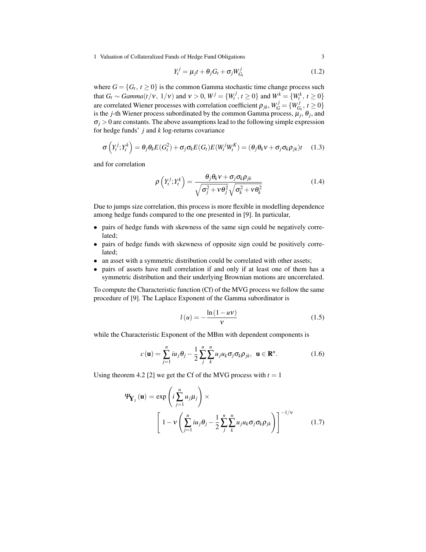1 Valuation of Collateralized Funds of Hedge Fund Obligations 3

$$
Y_t^j = \mu_j t + \theta_j G_t + \sigma_j W_{G_t}^j \tag{1.2}
$$

where  $G = \{G_t, t \geq 0\}$  is the common Gamma stochastic time change process such that  $G_t \sim \text{Gamma}(t/v, 1/v)$  and  $v > 0$ ,  $W^j = \{W_t^j, t \ge 0\}$  and  $W_t^k = \{W_t^k, t \ge 0\}$ are correlated Wiener processes with correlation coefficient  $\rho_{jk}, W_G^j = \{W_G^j\}$  $G_t^J, t \geq 0$ is the *j*-th Wiener process subordinated by the common Gamma process,  $\mu_j$ ,  $\theta_j$ , and  $\sigma$ *j* > 0 are constants. The above assumptions lead to the following simple expression for hedge funds' *j* and *k* log-returns covariance

$$
\sigma\left(Y_t^j; Y_t^k\right) = \theta_j \theta_k E(G_t^2) + \sigma_j \sigma_k E(G_t) E(W_t^j W_t^K) = (\theta_j \theta_k v + \sigma_j \sigma_k \rho_{jk})t \quad (1.3)
$$

and for correlation

$$
\rho\left(Y_t^j; Y_t^k\right) = \frac{\theta_j \theta_k v + \sigma_j \sigma_k \rho_{jk}}{\sqrt{\sigma_j^2 + v \theta_j^2} \sqrt{\sigma_k^2 + v \theta_k^2}}
$$
\n(1.4)

Due to jumps size correlation, this process is more flexible in modelling dependence among hedge funds compared to the one presented in [9]. In particular,

- pairs of hedge funds with skewness of the same sign could be negatively correlated;
- pairs of hedge funds with skewness of opposite sign could be positively correlated;
- an asset with a symmetric distribution could be correlated with other assets;
- pairs of assets have null correlation if and only if at least one of them has a symmetric distribution and their underlying Brownian motions are uncorrelated.

To compute the Characteristic function (Cf) of the MVG process we follow the same procedure of [9]. The Laplace Exponent of the Gamma subordinator is

$$
l(u) = -\frac{\ln(1 - uv)}{v} \tag{1.5}
$$

while the Characteristic Exponent of the MBm with dependent components is

$$
c(\mathbf{u}) = \sum_{j=1}^{n} i u_j \theta_j - \frac{1}{2} \sum_{j}^{n} \sum_{k=1}^{n} u_j u_k \sigma_j \sigma_k \rho_{jk}, \ \ \mathbf{u} \in \mathbb{R}^n.
$$
 (1.6)

Using theorem 4.2 [2] we get the Cf of the MVG process with  $t = 1$ 

$$
\Psi_{\mathbf{Y}_1}(\mathbf{u}) = \exp\left(i\sum_{j=1}^n u_j \mu_j\right) \times \left[1 - v\left(\sum_{j=1}^n i u_j \theta_j - \frac{1}{2} \sum_j^n \sum_k^n u_j u_k \sigma_j \sigma_k \rho_{jk}\right)\right]^{-1/\nu}
$$
(1.7)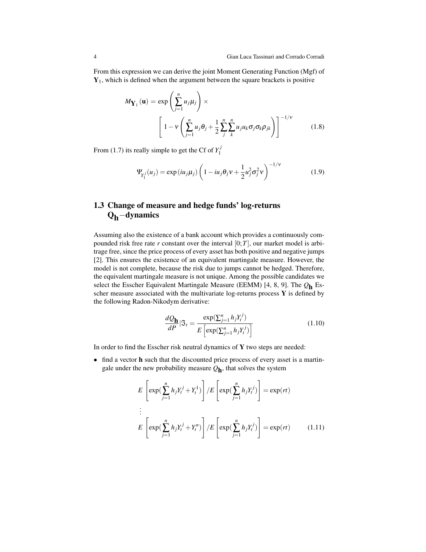From this expression we can derive the joint Moment Generating Function (Mgf) of  $Y_1$ , which is defined when the argument between the square brackets is positive

$$
M_{\mathbf{Y}_1}(\mathbf{u}) = \exp\left(\sum_{j=1}^n u_j \mu_j\right) \times \left[1 - v \left(\sum_{j=1}^n u_j \theta_j + \frac{1}{2} \sum_j^n \sum_k^n u_j u_k \sigma_j \sigma_k \rho_{jk}\right)\right]^{-1/\nu}
$$
(1.8)

From (1.7) its really simple to get the Cf of  $Y_1^j$ 1

$$
\Psi_{Y_1^j}(u_j) = \exp(iu_j\mu_j) \left(1 - iu_j\theta_j v + \frac{1}{2}u_j^2\sigma_j^2 v\right)^{-1/\nu}
$$
(1.9)

# 1.3 Change of measure and hedge funds' log-returns Q<sub>h</sub>−dynamics

Assuming also the existence of a bank account which provides a continuously compounded risk free rate  $r$  constant over the interval  $[0;T]$ , our market model is arbitrage free, since the price process of every asset has both positive and negative jumps [2]. This ensures the existence of an equivalent martingale measure. However, the model is not complete, because the risk due to jumps cannot be hedged. Therefore, the equivalent martingale measure is not unique. Among the possible candidates we select the Esscher Equivalent Martingale Measure (EEMM) [4, 8, 9]. The *Q*h Esscher measure associated with the multivariate log-returns process  $Y$  is defined by the following Radon-Nikodym derivative:

$$
\frac{dQ_{\mathbf{h}}}{dP}|\mathfrak{I}_t = \frac{\exp(\sum_{j=1}^n h_j Y_t^j)}{E\left[\exp(\sum_{j=1}^n h_j Y_t^j)\right]}
$$
(1.10)

In order to find the Esscher risk neutral dynamics of Y two steps are needed:

• find a vector h such that the discounted price process of every asset is a martingale under the new probability measure *Q*h , that solves the system

$$
E\left[\exp\left(\sum_{j=1}^{n} h_j Y_t^j + Y_t^1\right)\right] / E\left[\exp\left(\sum_{j=1}^{n} h_j Y_t^j\right)\right] = \exp(rt)
$$
  
\n
$$
\vdots
$$
  
\n
$$
E\left[\exp\left(\sum_{j=1}^{n} h_j Y_t^j + Y_t^n\right)\right] / E\left[\exp\left(\sum_{j=1}^{n} h_j Y_t^j\right)\right] = \exp(rt) \quad (1.11)
$$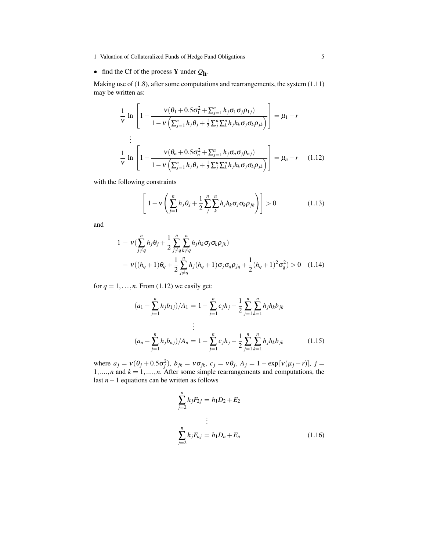- 1 Valuation of Collateralized Funds of Hedge Fund Obligations 5
- find the Cf of the process Y under *Q*h .

Making use of (1.8), after some computations and rearrangements, the system (1.11) may be written as:

$$
\frac{1}{v} \ln \left[ 1 - \frac{v(\theta_1 + 0.5\sigma_1^2 + \sum_{j=1}^n h_j \sigma_1 \sigma_j \rho_{1j})}{1 - v\left(\sum_{j=1}^n h_j \theta_j + \frac{1}{2} \sum_j^n \sum_k^n h_j h_k \sigma_j \sigma_k \rho_{jk}\right)} \right] = \mu_1 - r
$$
\n
$$
\vdots
$$
\n
$$
\frac{1}{v} \ln \left[ 1 - \frac{v(\theta_n + 0.5\sigma_n^2 + \sum_{j=1}^n h_j \sigma_n \sigma_j \rho_{nj})}{1 - v\left(\sum_{j=1}^n h_j \theta_j + \frac{1}{2} \sum_j^n \sum_k^n h_j h_k \sigma_j \sigma_k \rho_{jk}\right)} \right] = \mu_n - r \quad (1.12)
$$

with the following constraints

$$
\left[1 - v\left(\sum_{j=1}^{n} h_j \theta_j + \frac{1}{2} \sum_{j}^{n} \sum_{k}^{n} h_j h_k \sigma_j \sigma_k \rho_{jk}\right)\right] > 0 \tag{1.13}
$$

and

$$
1 - \nu \left( \sum_{j \neq q}^{n} h_j \theta_j + \frac{1}{2} \sum_{j \neq q}^{n} \sum_{k \neq q}^{n} h_j h_k \sigma_j \sigma_k \rho_{jk} \right)
$$
  
- 
$$
\nu \left( (h_q + 1) \theta_q + \frac{1}{2} \sum_{j \neq q}^{n} h_j (h_q + 1) \sigma_j \sigma_q \rho_{jq} + \frac{1}{2} (h_q + 1)^2 \sigma_q^2 \right) > 0 \quad (1.14)
$$

for  $q = 1, \ldots, n$ . From (1.12) we easily get:

$$
(a_1 + \sum_{j=1}^{n} h_j b_{1j})/A_1 = 1 - \sum_{j=1}^{n} c_j h_j - \frac{1}{2} \sum_{j=1}^{n} \sum_{k=1}^{n} h_j h_k b_{jk}
$$
  

$$
\vdots
$$
  

$$
(a_n + \sum_{j=1}^{n} h_j b_{nj})/A_n = 1 - \sum_{j=1}^{n} c_j h_j - \frac{1}{2} \sum_{j=1}^{n} \sum_{k=1}^{n} h_j h_k b_{jk}
$$
(1.15)

where  $a_j = v(\theta_j + 0.5\sigma_j^2)$ ,  $b_{jk} = v\sigma_{jk}$ ,  $c_j = v\theta_j$ ,  $A_j = 1 - \exp[v(\mu_j - r)]$ ,  $j =$  $1, \ldots, n$  and  $k = 1, \ldots, n$ . After some simple rearrangements and computations, the last *n*−1 equations can be written as follows

$$
\sum_{j=2}^{n} h_j F_{2j} = h_1 D_2 + E_2
$$
  
\n
$$
\vdots
$$
  
\n
$$
\sum_{j=2}^{n} h_j F_{nj} = h_1 D_n + E_n
$$
 (1.16)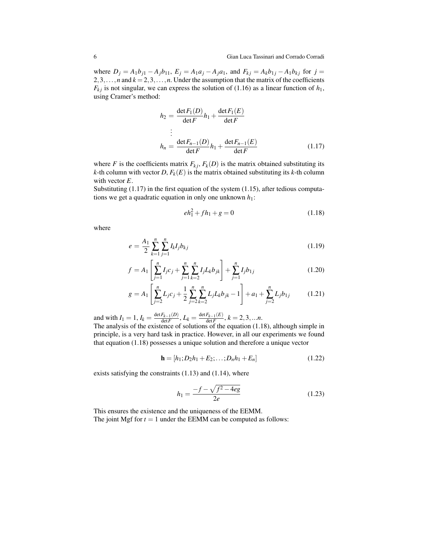where  $D_j = A_1 b_{j1} - A_j b_{11}$ ,  $E_j = A_1 a_j - A_j a_1$ , and  $F_{kj} = A_k b_{1j} - A_1 b_{kj}$  for  $j =$ 2,3,...,*n* and  $k = 2, 3, \ldots, n$ . Under the assumption that the matrix of the coefficients  $F_{kj}$  is not singular, we can express the solution of (1.16) as a linear function of  $h_1$ , using Cramer's method:

$$
h_2 = \frac{\det F_1(D)}{\det F} h_1 + \frac{\det F_1(E)}{\det F}
$$
  
\n
$$
\vdots
$$
  
\n
$$
h_n = \frac{\det F_{n-1}(D)}{\det F} h_1 + \frac{\det F_{n-1}(E)}{\det F}
$$
(1.17)

where *F* is the coefficients matrix  $F_{kj}$ ,  $F_k(D)$  is the matrix obtained substituting its *k*-th column with vector *D*,  $F_k(E)$  is the matrix obtained substituting its *k*-th column with vector *E*.

Substituting (1.17) in the first equation of the system (1.15), after tedious computations we get a quadratic equation in only one unknown *h*1:

$$
eh_1^2 + fh_1 + g = 0 \tag{1.18}
$$

where

$$
e = \frac{A_1}{2} \sum_{k=1}^{n} \sum_{j=1}^{n} I_k I_j b_{kj}
$$
\n(1.19)

$$
f = A_1 \left[ \sum_{j=1}^n I_j c_j + \sum_{j=1}^n \sum_{k=2}^n I_j L_k b_{jk} \right] + \sum_{j=1}^n I_j b_{1j} \tag{1.20}
$$

$$
g = A_1 \left[ \sum_{j=2}^n L_j c_j + \frac{1}{2} \sum_{j=2}^n \sum_{k=2}^n L_j L_k b_{jk} - 1 \right] + a_1 + \sum_{j=2}^n L_j b_{1j} \tag{1.21}
$$

and with  $I_1 = 1$ ,  $I_k = \frac{\det F_{k-1}(D)}{\det F}$  $\frac{F_{k-1}(D)}{\det F}$ ,  $L_k = \frac{\det F_{k-1}(E)}{\det F}$  $\frac{F_{k-1}(E)}{\det F}$ ,  $k = 2, 3, ...n$ . The analysis of the existence of solutions of the equation (1.18), although simple in principle, is a very hard task in practice. However, in all our experiments we found that equation (1.18) possesses a unique solution and therefore a unique vector

$$
\mathbf{h} = [h_1; D_2h_1 + E_2; \dots; D_nh_1 + E_n]
$$
 (1.22)

exists satisfying the constraints (1.13) and (1.14), where

$$
h_1 = \frac{-f - \sqrt{f^2 - 4eg}}{2e}
$$
 (1.23)

This ensures the existence and the uniqueness of the EEMM. The joint Mgf for  $t = 1$  under the EEMM can be computed as follows: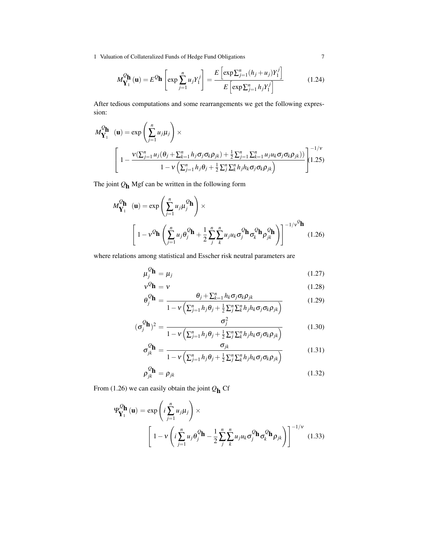1 Valuation of Collateralized Funds of Hedge Fund Obligations 7

$$
M_{\mathbf{Y}_1}^{\mathcal{Q}_{\mathbf{h}}}(\mathbf{u}) = E^{\mathcal{Q}_{\mathbf{h}}} \left[ \exp \sum_{j=1}^n u_j Y_1^j \right] = \frac{E \left[ \exp \sum_{j=1}^n (h_j + u_j) Y_1^j \right]}{E \left[ \exp \sum_{j=1}^n h_j Y_1^j \right]}
$$
(1.24)

After tedious computations and some rearrangements we get the following expression:

$$
M_{\mathbf{Y}_1}^{\mathcal{Q}_{\mathbf{h}}}(\mathbf{u}) = \exp\left(\sum_{j=1}^n u_j \mu_j\right) \times \left[1 - \frac{\nu(\sum_{j=1}^n u_j(\theta_j + \sum_{k=1}^n h_j \sigma_j \sigma_k \rho_{jk}) + \frac{1}{2} \sum_{j=1}^n \sum_{k=1}^n u_j u_k \sigma_j \sigma_k \rho_{jk})}{1 - \nu(\sum_{j=1}^n h_j \theta_j + \frac{1}{2} \sum_j^n \sum_k^n h_j h_k \sigma_j \sigma_k \rho_{jk})}\right]^{-(1/\nu)}(1.25)
$$

The joint *Q*h Mgf can be written in the following form

$$
M_{\mathbf{Y}_1}^{\mathcal{Q}_{\mathbf{h}}}(\mathbf{u}) = \exp\left(\sum_{j=1}^n u_j \mu_j^{\mathcal{Q}_{\mathbf{h}}}\right) \times \left[1 - v^{\mathcal{Q}_{\mathbf{h}}}\left(\sum_{j=1}^n u_j \theta_j^{\mathcal{Q}_{\mathbf{h}}} + \frac{1}{2} \sum_j^n \sum_k^n u_j u_k \sigma_j^{\mathcal{Q}_{\mathbf{h}}} \sigma_k^{\mathcal{Q}_{\mathbf{h}}} \sigma_k^{\mathcal{Q}_{\mathbf{h}}} \rho_{jk}^{\mathcal{Q}_{\mathbf{h}}}\right)\right]^{-1/v^{\mathcal{Q}_{\mathbf{h}}}}
$$
(1.26)

where relations among statistical and Esscher risk neutral parameters are

$$
\mu_j^{\mathcal{Q}} \mathbf{h} = \mu_j \tag{1.27}
$$

$$
\mathbf{v}^{\mathcal{Q}}\mathbf{h} = \mathbf{v}
$$
\n(1.28)\n
$$
\theta_j^{\mathcal{Q}}\mathbf{h} = \frac{\theta_j + \sum_{k=1}^n h_k \sigma_j \sigma_k \rho_{jk}}{1 - \mathbf{v} \left( \sum_{j=1}^n h_j \theta_j + \frac{1}{2} \sum_j^n \sum_k^n h_j h_k \sigma_j \sigma_k \rho_{jk} \right)}
$$
\n(1.29)

$$
(\sigma_j^Q \mathbf{h})^2 = \frac{\sigma_j^2}{1 - v\left(\sum_{j=1}^n h_j \theta_j + \frac{1}{2} \sum_j^n \sum_k^n h_j h_k \sigma_j \sigma_k \rho_{jk}\right)}
$$
(1.30)

$$
\sigma_{jk}^{\mathcal{Q}} \mathbf{h} = \frac{\sigma_{jk}}{1 - v \left( \sum_{j=1}^{n} h_j \theta_j + \frac{1}{2} \sum_{j=1}^{n} \sum_{k=1}^{n} h_j h_k \sigma_j \sigma_k \rho_{jk} \right)}
$$
(1.31)

$$
\rho_{jk}^{\mathcal{Q}} \mathbf{h} = \rho_{jk} \tag{1.32}
$$

From (1.26) we can easily obtain the joint *Q*h Cf

$$
\Psi_{\mathbf{Y}_1}^{\mathcal{Q}_{\mathbf{h}}}(\mathbf{u}) = \exp\left(i\sum_{j=1}^n u_j \mu_j\right) \times \left[1 - v\left(i\sum_{j=1}^n u_j \theta_j^{\mathcal{Q}_{\mathbf{h}}} - \frac{1}{2}\sum_j^n \sum_k^n u_j u_k \sigma_j^{\mathcal{Q}_{\mathbf{h}}} \sigma_k^{\mathcal{Q}_{\mathbf{h}}} \rho_{jk}\right)\right]^{-1/\nu} (1.33)
$$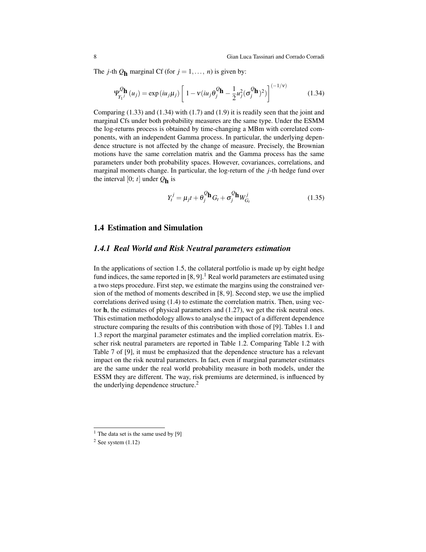The *j*-th  $Q_h$  marginal Cf (for  $j = 1, ..., n$ ) is given by:

$$
\Psi_{Y_1}^{\mathcal{Q}}(\mathbf{h}) = \exp(i\mu_j\mu_j) \left[ 1 - v(i\mu_j\theta_j^{\mathcal{Q}}\mathbf{h} - \frac{1}{2}\mu_j^2(\sigma_j^{\mathcal{Q}}\mathbf{h})^2) \right]^{(-1/\nu)}
$$
(1.34)

Comparing  $(1.33)$  and  $(1.34)$  with  $(1.7)$  and  $(1.9)$  it is readily seen that the joint and marginal Cfs under both probability measures are the same type. Under the ESMM the log-returns process is obtained by time-changing a MBm with correlated components, with an independent Gamma process. In particular, the underlying dependence structure is not affected by the change of measure. Precisely, the Brownian motions have the same correlation matrix and the Gamma process has the same parameters under both probability spaces. However, covariances, correlations, and marginal moments change. In particular, the log-return of the *j*-th hedge fund over the interval  $[0; t]$  under  $Q_{\mathbf{h}}$  is

$$
Y_t^j = \mu_j t + \theta_j^Q \mathbf{h} G_t + \sigma_j^Q \mathbf{h} W_{G_t}^j
$$
 (1.35)

#### 1.4 Estimation and Simulation

### *1.4.1 Real World and Risk Neutral parameters estimation*

In the applications of section 1.5, the collateral portfolio is made up by eight hedge fund indices, the same reported in  $[8, 9]$ .<sup>1</sup> Real world parameters are estimated using a two steps procedure. First step, we estimate the margins using the constrained version of the method of moments described in [8, 9]. Second step, we use the implied correlations derived using (1.4) to estimate the correlation matrix. Then, using vector h, the estimates of physical parameters and (1.27), we get the risk neutral ones. This estimation methodology allows to analyse the impact of a different dependence structure comparing the results of this contribution with those of [9]. Tables 1.1 and 1.3 report the marginal parameter estimates and the implied correlation matrix. Esscher risk neutral parameters are reported in Table 1.2. Comparing Table 1.2 with Table 7 of [9], it must be emphasized that the dependence structure has a relevant impact on the risk neutral parameters. In fact, even if marginal parameter estimates are the same under the real world probability measure in both models, under the ESSM they are different. The way, risk premiums are determined, is influenced by the underlying dependence structure.<sup>2</sup>

 $1$  The data set is the same used by [9]

 $2$  See system  $(1.12)$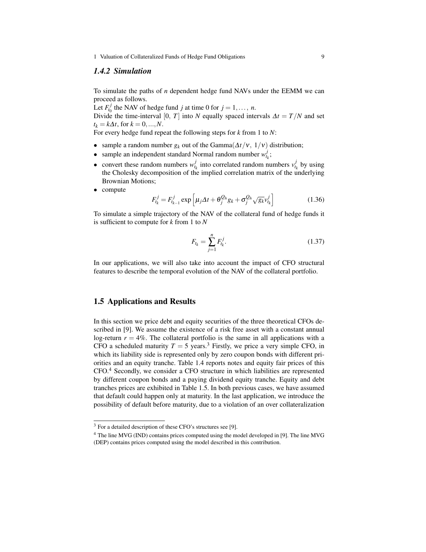1 Valuation of Collateralized Funds of Hedge Fund Obligations 9

#### *1.4.2 Simulation*

To simulate the paths of *n* dependent hedge fund NAVs under the EEMM we can proceed as follows.

Let  $F_{t_0}^j$  the NAV of hedge fund *j* at time 0 for  $j = 1, ..., n$ .

Divide the time-interval [0, *T*] into *N* equally spaced intervals  $\Delta t = T/N$  and set  $t_k = k\Delta t$ , for  $k = 0, ..., N$ .

For every hedge fund repeat the following steps for *k* from 1 to *N*:

- sample a random number  $g_k$  out of the Gamma( $\Delta t/v$ ,  $1/v$ ) distribution;
- sample an independent standard Normal random number  $w^j_{t_k}$ ;
- convert these random numbers  $w_{t_k}^j$  into correlated random numbers  $v_{t_k}^j$  by using the Cholesky decomposition of the implied correlation matrix of the underlying Brownian Motions;
- compute

$$
F_{t_k}^j = F_{t_{k-1}}^j \exp\left[\mu_j \Delta t + \theta_j^{Q_h} g_k + \sigma_j^{Q_h} \sqrt{g_k} v_{t_k}^j\right]
$$
(1.36)

To simulate a simple trajectory of the NAV of the collateral fund of hedge funds it is sufficient to compute for *k* from 1 to *N*

$$
F_{t_k} = \sum_{j=1}^{n} F_{t_k}^j.
$$
 (1.37)

In our applications, we will also take into account the impact of CFO structural features to describe the temporal evolution of the NAV of the collateral portfolio.

#### 1.5 Applications and Results

In this section we price debt and equity securities of the three theoretical CFOs described in [9]. We assume the existence of a risk free asset with a constant annual log-return  $r = 4\%$ . The collateral portfolio is the same in all applications with a CFO a scheduled maturity  $T = 5$  years.<sup>3</sup> Firstly, we price a very simple CFO, in which its liability side is represented only by zero coupon bonds with different priorities and an equity tranche. Table 1.4 reports notes and equity fair prices of this CFO.<sup>4</sup> Secondly, we consider a CFO structure in which liabilities are represented by different coupon bonds and a paying dividend equity tranche. Equity and debt tranches prices are exhibited in Table 1.5. In both previous cases, we have assumed that default could happen only at maturity. In the last application, we introduce the possibility of default before maturity, due to a violation of an over collateralization

<sup>3</sup> For a detailed description of these CFO's structures see [9].

<sup>4</sup> The line MVG (IND) contains prices computed using the model developed in [9]. The line MVG (DEP) contains prices computed using the model described in this contribution.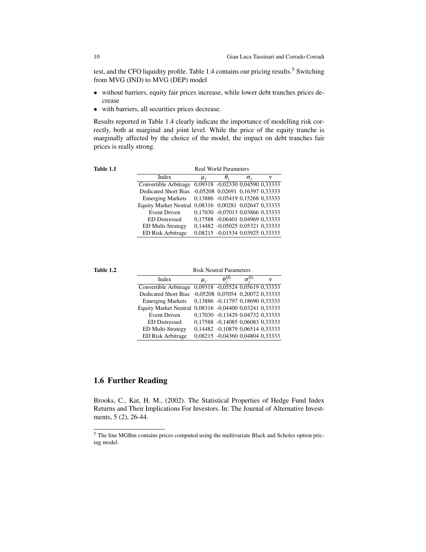test, and the CFO liquidity profile. Table 1.4 contains our pricing results.<sup>5</sup> Switching from MVG (IND) to MVG (DEP) model

- without barriers, equity fair prices increase, while lower debt tranches prices decrease
- with barriers, all securities prices decrease.

Results reported in Table 1.4 clearly indicate the importance of modelling risk correctly, both at marginal and joint level. While the price of the equity tranche is marginally affected by the choice of the model, the impact on debt tranches fair prices is really strong.

| Table 1.1 |  |
|-----------|--|

Real World Parameters

| Index                                                 | $\mu_i$ |                                  |  |
|-------------------------------------------------------|---------|----------------------------------|--|
| Convertible Arbitrage                                 |         | 0,09318 -0,02330 0,04590 0,33333 |  |
| <b>Dedicated Short Bias</b>                           |         | -0,05208 0,02691 0,16397 0,33333 |  |
| <b>Emerging Markets</b>                               |         | 0,13886 -0,05419 0,15268 0,33333 |  |
| Equity Market Neutral 0,08316 0,00281 0,02647 0,33333 |         |                                  |  |
| <b>Event Driven</b>                                   |         | 0,17030 -0,07013 0,03866 0,33333 |  |
| <b>ED</b> Distressed                                  |         | 0,17588 -0,06401 0,04969 0,33333 |  |
| <b>ED Multi-Strategy</b>                              |         | 0,14482 -0,05025 0,05321 0,33333 |  |
| ED Risk Arbitrage                                     |         | 0,08215 -0,01534 0,03925 0,33333 |  |
|                                                       |         |                                  |  |

Table 1.2 Risk Neutral Parameters

| Index                                                  | $\mu_i$ | $A^{\mathcal{Q}_h}$              | v |
|--------------------------------------------------------|---------|----------------------------------|---|
| Convertible Arbitrage                                  |         | 0,09318 -0,05524 0,05619 0,33333 |   |
| Dedicated Short Bias                                   |         | -0,05208 0,07054 0,20072 0,33333 |   |
| <b>Emerging Markets</b>                                |         | 0,13886 -0,11797 0,18690 0,33333 |   |
| Equity Market Neutral 0,08316 -0,04400 0,03241 0,33333 |         |                                  |   |
| <b>Event Driven</b>                                    |         | 0,17030 -0,13429 0,04732 0,33333 |   |
| <b>ED</b> Distressed                                   |         | 0,17588 -0,14085 0,06083 0,33333 |   |
| <b>ED Multi-Strategy</b>                               |         | 0,14482 -0,10879 0,06514 0,33333 |   |
| ED Risk Arbitrage                                      |         | 0,08215 -0,04360 0,04804 0,33333 |   |

## 1.6 Further Reading

Brooks, C., Kat, H. M., (2002). The Statistical Properties of Hedge Fund Index Returns and Their Implications For Investors. In: The Journal of Alternative Investments, 5 (2), 26-44.

<sup>5</sup> The line MGBm contains prices computed using the multivariate Black and Scholes option pricing model.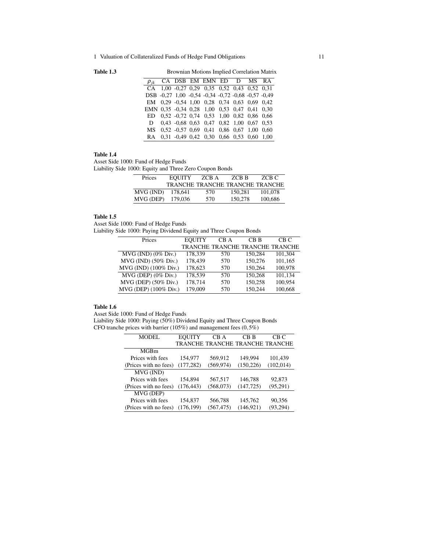Table 1.3 Brownian Motions Implied Correlation Matrix

| $\rho_{ik}$ |  | CA DSB EM EMN ED D MS RA                                 |  |  |
|-------------|--|----------------------------------------------------------|--|--|
|             |  | CA 1.00 -0.27 0.29 0.35 0.52 0.43 0.52 0.31              |  |  |
|             |  | DSB -0.27 1.00 -0.54 -0.34 -0.72 -0.68 -0.57 -0.49       |  |  |
|             |  | EM 0.29 -0.54 1.00 0.28 0.74 0.63 0.69 0.42              |  |  |
|             |  | EMN 0.35 -0.34 0.28 1.00 0.53 0.47 0.41 0.30             |  |  |
|             |  | ED 0.52 -0.72 0.74 0.53 1.00 0.82 0.86 0.66              |  |  |
|             |  | D $0.43 -0.68$ $0.63$ $0.47$ $0.82$ $1.00$ $0.67$ $0.53$ |  |  |
|             |  | MS 0.52 -0.57 0.69 0.41 0.86 0.67 1.00 0.60              |  |  |
|             |  | RA 0.31 -0.49 0.42 0.30 0.66 0.53 0.60 1.00              |  |  |

#### Table 1.4

Asset Side 1000: Fund of Hedge Funds Liability Side 1000: Equity and Three Zero Coupon Bonds

| Prices    | <b>EQUITY</b> | ZCB A                           | ZCB B   | ZCB C   |
|-----------|---------------|---------------------------------|---------|---------|
|           |               | TRANCHE TRANCHE TRANCHE TRANCHE |         |         |
| MVG (IND) | 178.641       | 570                             | 150.281 | 101.078 |
| MVG (DEP) | 179.036       | 570                             | 150,278 | 100,686 |

#### Table 1.5

Asset Side 1000: Fund of Hedge Funds Liability Side 1000: Paying Dividend Equity and Three Coupon Bonds

| Prices                 | <b>EOUITY</b> | CB A                            | CB <sub>B</sub> | CB C    |
|------------------------|---------------|---------------------------------|-----------------|---------|
|                        |               | TRANCHE TRANCHE TRANCHE TRANCHE |                 |         |
| $MVG$ (IND) (0% Div.)  | 178,339       | 570                             | 150.284         | 101,304 |
| $MVG$ (IND) (50% Div.) | 178,439       | 570                             | 150.276         | 101,165 |
| MVG (IND) (100% Div.)  | 178,623       | 570                             | 150,264         | 100,978 |
| $MVG$ (DEP) (0% Div.)  | 178.539       | 570                             | 150.268         | 101.134 |
| $MVG$ (DEP) (50% Div.) | 178,714       | 570                             | 150,258         | 100,954 |
| MVG (DEP) (100% Div.)  | 179,009       | 570                             | 150.244         | 100,668 |

#### Table 1.6

Asset Side 1000: Fund of Hedge Funds

Liability Side 1000: Paying (50%) Dividend Equity and Three Coupon Bonds CFO tranche prices with barrier (105%) and management fees (0,5%)

| MODEL                 | <b>EOUITY</b> | CB A       | CB B                            | CB C       |
|-----------------------|---------------|------------|---------------------------------|------------|
|                       |               |            | TRANCHE TRANCHE TRANCHE TRANCHE |            |
| MGBm                  |               |            |                                 |            |
| Prices with fees      | 154,977       | 569,912    | 149.994                         | 101,439    |
| (Prices with no fees) | (177, 282)    | (569, 974) | (150, 226)                      | (102, 014) |
| MVG (IND)             |               |            |                                 |            |
| Prices with fees      | 154,894       | 567,517    | 146,788                         | 92,873     |
| (Prices with no fees) | (176, 443)    | (568, 073) | (147, 725)                      | (95,291)   |
| MVG (DEP)             |               |            |                                 |            |
| Prices with fees      | 154,837       | 566,788    | 145,762                         | 90,356     |
| (Prices with no fees) | (176, 199)    | (567, 475) | (146, 921)                      | (93, 294)  |